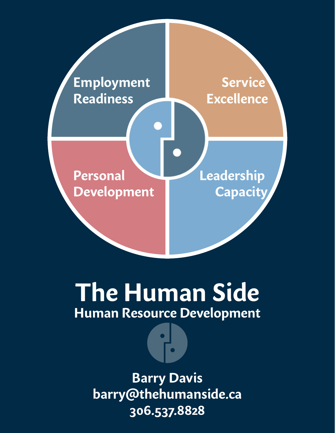

# **The Human Side Human Resource Development**

**Barry Davis barry@thehumanside.ca 306.537.8828**